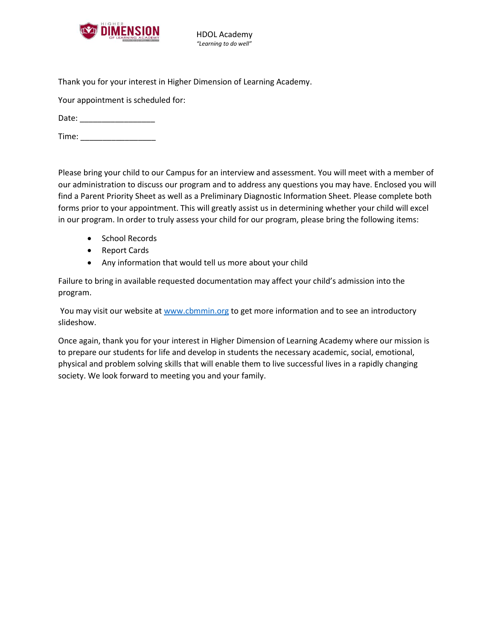

HDOL Academy *"Learning to do well"*

Thank you for your interest in Higher Dimension of Learning Academy.

Your appointment is scheduled for:

Date: \_\_\_\_\_\_\_\_\_\_\_\_\_\_\_\_\_

Time: \_\_\_\_\_\_\_\_\_\_\_\_\_\_\_\_\_

Please bring your child to our Campus for an interview and assessment. You will meet with a member of our administration to discuss our program and to address any questions you may have. Enclosed you will find a Parent Priority Sheet as well as a Preliminary Diagnostic Information Sheet. Please complete both forms prior to your appointment. This will greatly assist us in determining whether your child will excel in our program. In order to truly assess your child for our program, please bring the following items:

- School Records
- Report Cards
- Any information that would tell us more about your child

Failure to bring in available requested documentation may affect your child's admission into the program.

You may visit our website at [www.cbmmin.org](http://www.cbmmin.org/) to get more information and to see an introductory slideshow.

Once again, thank you for your interest in Higher Dimension of Learning Academy where our mission is to prepare our students for life and develop in students the necessary academic, social, emotional, physical and problem solving skills that will enable them to live successful lives in a rapidly changing society. We look forward to meeting you and your family.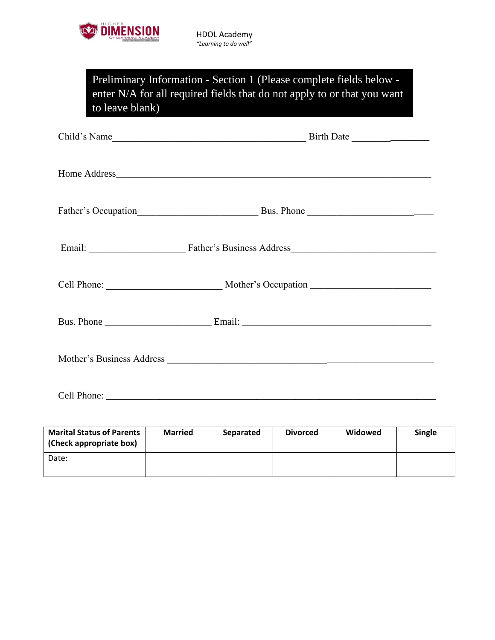

| Preliminary Information - Section 1 (Please complete fields below -       |
|---------------------------------------------------------------------------|
| enter $N/A$ for all required fields that do not apply to or that you want |
| to leave blank)                                                           |
|                                                                           |

| Child's Name                     |
|----------------------------------|
|                                  |
|                                  |
| Email: Father's Business Address |
|                                  |
|                                  |
|                                  |
|                                  |

| <b>Marital Status of Parents</b><br>(Check appropriate box) | <b>Married</b> | Separated | <b>Divorced</b> | Widowed | Single |
|-------------------------------------------------------------|----------------|-----------|-----------------|---------|--------|
| Date:                                                       |                |           |                 |         |        |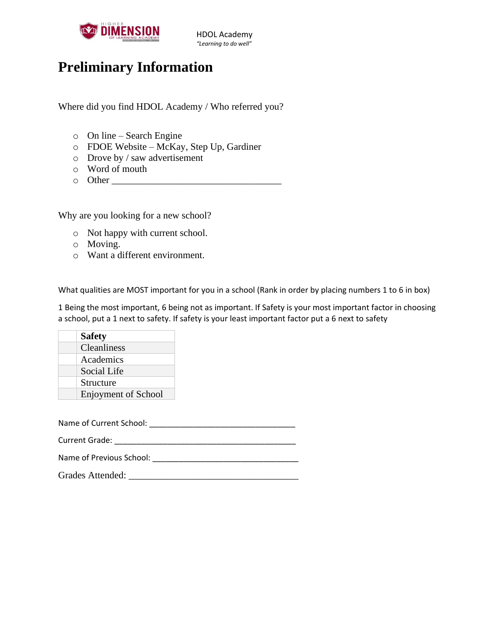

## **Preliminary Information**

Where did you find HDOL Academy / Who referred you?

- o On line Search Engine
- o FDOE Website McKay, Step Up, Gardiner
- o Drove by / saw advertisement
- o Word of mouth
- $\circ$  Other  $\Box$

Why are you looking for a new school?

- o Not happy with current school.
- o Moving.
- o Want a different environment.

What qualities are MOST important for you in a school (Rank in order by placing numbers 1 to 6 in box)

1 Being the most important, 6 being not as important. If Safety is your most important factor in choosing a school, put a 1 next to safety. If safety is your least important factor put a 6 next to safety

| <b>Safety</b>              |
|----------------------------|
| Cleanliness                |
| Academics                  |
| Social Life                |
| Structure                  |
| <b>Enjoyment of School</b> |

Name of Current School: **Washington** 

Current Grade: \_\_\_\_\_\_\_\_\_\_\_\_\_\_\_\_\_\_\_\_\_\_\_\_\_\_\_\_\_\_\_\_\_\_\_\_\_\_\_\_\_

| Name of Previous School: |  |
|--------------------------|--|
|                          |  |

| <b>Grades Attended:</b> |  |
|-------------------------|--|
|                         |  |